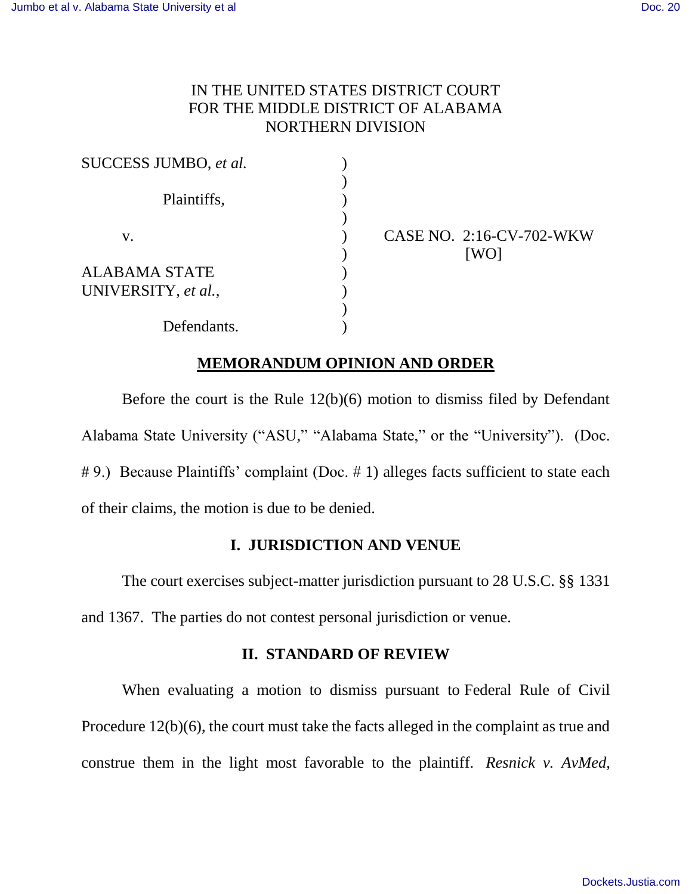# IN THE UNITED STATES DISTRICT COURT FOR THE MIDDLE DISTRICT OF ALABAMA NORTHERN DIVISION

| SUCCESS JUMBO, et al. |  |
|-----------------------|--|
|                       |  |
| Plaintiffs,           |  |
|                       |  |
| $V_{\rm A}$           |  |
|                       |  |
| ALABAMA STATE         |  |
| UNIVERSITY, et al.,   |  |
|                       |  |
| Defendants.           |  |

CASE NO. 2:16-CV-702-WKW [WO]

# **MEMORANDUM OPINION AND ORDER**

Before the court is the Rule 12(b)(6) motion to dismiss filed by Defendant Alabama State University ("ASU," "Alabama State," or the "University"). (Doc. # 9.) Because Plaintiffs' complaint (Doc. # 1) alleges facts sufficient to state each of their claims, the motion is due to be denied.

## **I. JURISDICTION AND VENUE**

The court exercises subject-matter jurisdiction pursuant to 28 U.S.C. §§ 1331 and 1367. The parties do not contest personal jurisdiction or venue.

## **II. STANDARD OF REVIEW**

When evaluating a motion to dismiss pursuant to Federal Rule of Civil Procedure 12(b)(6), the court must take the facts alleged in the complaint as true and construe them in the light most favorable to the plaintiff. *Resnick v. AvMed,*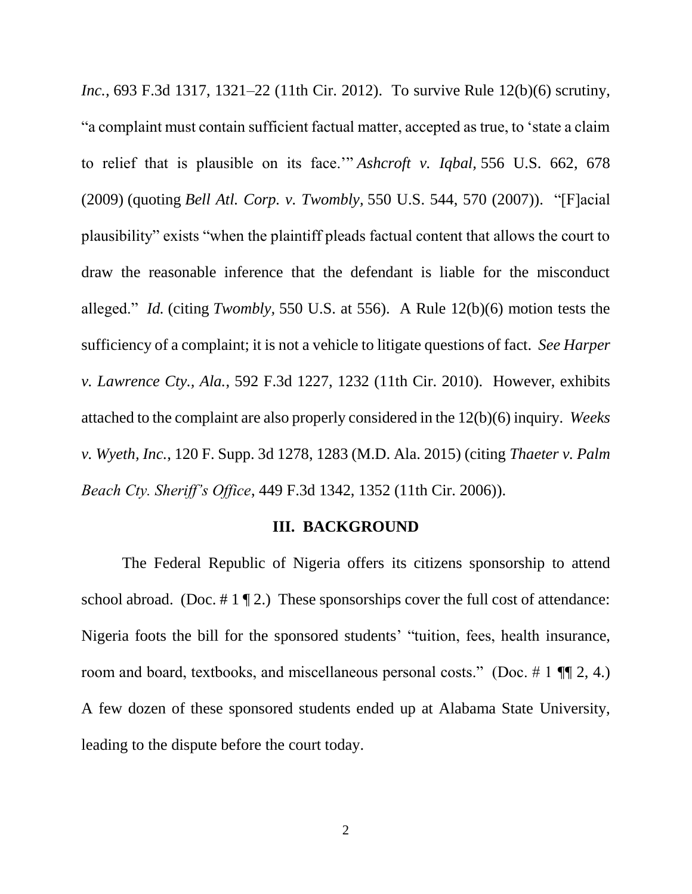*Inc.,* 693 F.3d 1317, 1321–22 (11th Cir. 2012). To survive Rule 12(b)(6) scrutiny, "a complaint must contain sufficient factual matter, accepted as true, to 'state a claim to relief that is plausible on its face.'" *Ashcroft v. Iqbal,* 556 U.S. 662, 678 (2009) (quoting *Bell Atl. Corp. v. Twombly,* 550 U.S. 544, 570 (2007)). "[F]acial plausibility" exists "when the plaintiff pleads factual content that allows the court to draw the reasonable inference that the defendant is liable for the misconduct alleged." *Id.* (citing *Twombly,* 550 U.S. at 556). A Rule 12(b)(6) motion tests the sufficiency of a complaint; it is not a vehicle to litigate questions of fact. *See Harper v. Lawrence Cty., Ala.*, 592 F.3d 1227, 1232 (11th Cir. 2010). However, exhibits attached to the complaint are also properly considered in the 12(b)(6) inquiry. *Weeks v. Wyeth, Inc.*, 120 F. Supp. 3d 1278, 1283 (M.D. Ala. 2015) (citing *Thaeter v. Palm Beach Cty. Sheriff's Office*, 449 F.3d 1342, 1352 (11th Cir. 2006)).

### **III. BACKGROUND**

The Federal Republic of Nigeria offers its citizens sponsorship to attend school abroad. (Doc.  $\# 1 \P 2$ .) These sponsorships cover the full cost of attendance: Nigeria foots the bill for the sponsored students' "tuition, fees, health insurance, room and board, textbooks, and miscellaneous personal costs." (Doc.  $\#$  1 ¶ 2, 4.) A few dozen of these sponsored students ended up at Alabama State University, leading to the dispute before the court today.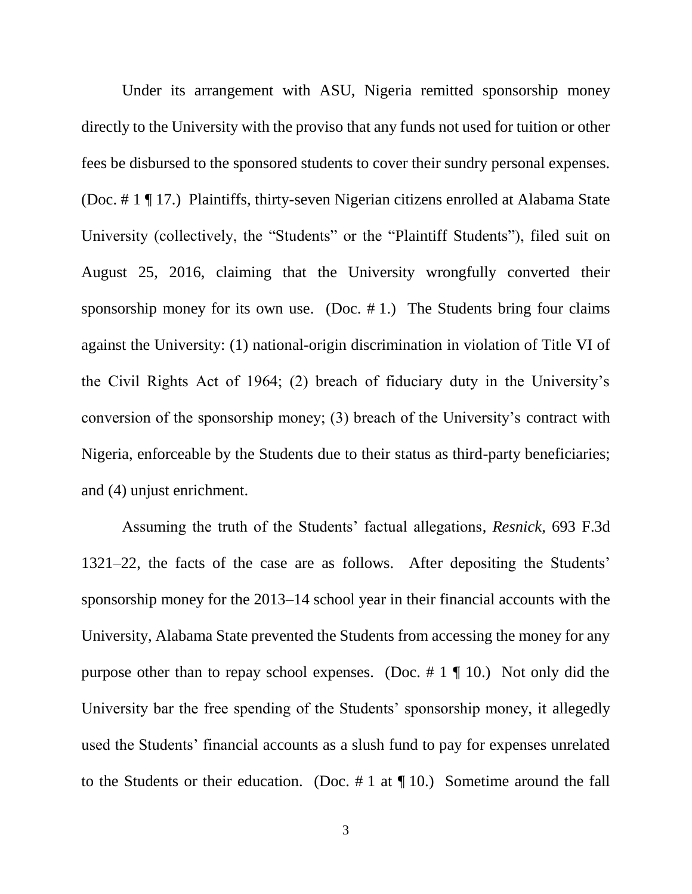Under its arrangement with ASU, Nigeria remitted sponsorship money directly to the University with the proviso that any funds not used for tuition or other fees be disbursed to the sponsored students to cover their sundry personal expenses. (Doc. # 1 ¶ 17.) Plaintiffs, thirty-seven Nigerian citizens enrolled at Alabama State University (collectively, the "Students" or the "Plaintiff Students"), filed suit on August 25, 2016, claiming that the University wrongfully converted their sponsorship money for its own use. (Doc.  $# 1$ .) The Students bring four claims against the University: (1) national-origin discrimination in violation of Title VI of the Civil Rights Act of 1964; (2) breach of fiduciary duty in the University's conversion of the sponsorship money; (3) breach of the University's contract with Nigeria, enforceable by the Students due to their status as third-party beneficiaries; and (4) unjust enrichment.

Assuming the truth of the Students' factual allegations, *Resnick*, 693 F.3d 1321–22, the facts of the case are as follows. After depositing the Students' sponsorship money for the 2013–14 school year in their financial accounts with the University, Alabama State prevented the Students from accessing the money for any purpose other than to repay school expenses. (Doc.  $\# 1 \P 10$ .) Not only did the University bar the free spending of the Students' sponsorship money, it allegedly used the Students' financial accounts as a slush fund to pay for expenses unrelated to the Students or their education. (Doc.  $\# 1$  at  $\P$  10.) Sometime around the fall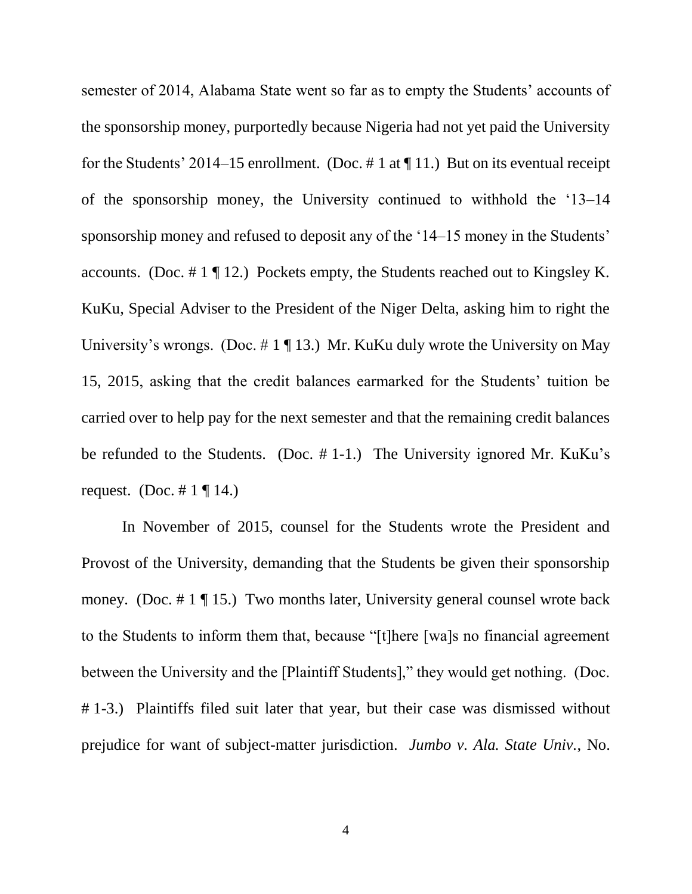semester of 2014, Alabama State went so far as to empty the Students' accounts of the sponsorship money, purportedly because Nigeria had not yet paid the University for the Students' 2014–15 enrollment. (Doc. # 1 at  $\P$  11.) But on its eventual receipt of the sponsorship money, the University continued to withhold the '13–14 sponsorship money and refused to deposit any of the '14–15 money in the Students' accounts. (Doc. # 1 ¶ 12.) Pockets empty, the Students reached out to Kingsley K. KuKu, Special Adviser to the President of the Niger Delta, asking him to right the University's wrongs. (Doc.  $\# 1 \P 13$ .) Mr. KuKu duly wrote the University on May 15, 2015, asking that the credit balances earmarked for the Students' tuition be carried over to help pay for the next semester and that the remaining credit balances be refunded to the Students. (Doc. # 1-1.) The University ignored Mr. KuKu's request. (Doc.  $\# 1 \P 14$ .)

In November of 2015, counsel for the Students wrote the President and Provost of the University, demanding that the Students be given their sponsorship money. (Doc. # 1 ¶ 15.) Two months later, University general counsel wrote back to the Students to inform them that, because "[t]here [wa]s no financial agreement between the University and the [Plaintiff Students]," they would get nothing. (Doc. # 1-3.) Plaintiffs filed suit later that year, but their case was dismissed without prejudice for want of subject-matter jurisdiction. *Jumbo v. Ala. State Univ.*, No.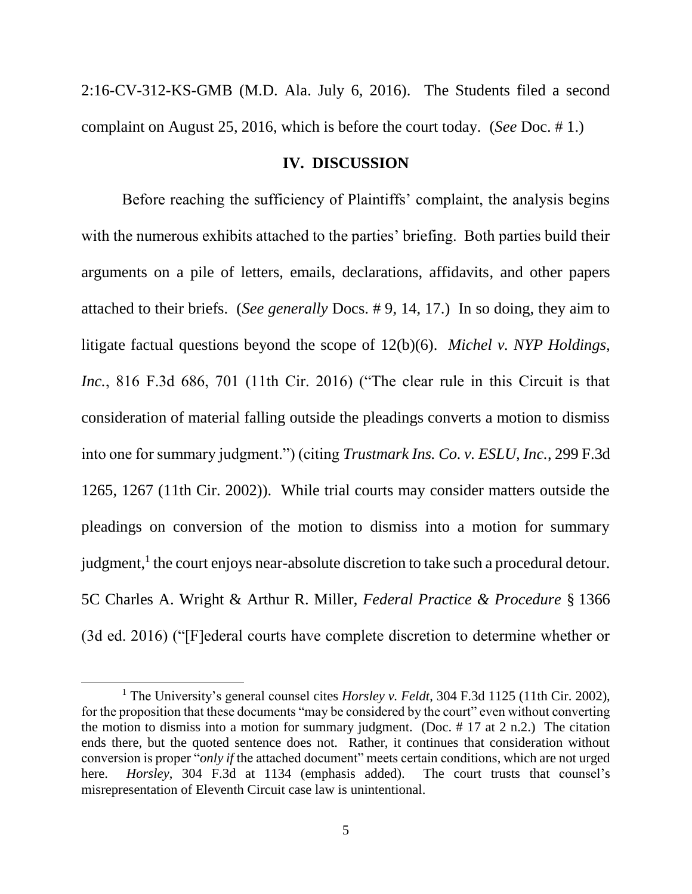2:16-CV-312-KS-GMB (M.D. Ala. July 6, 2016). The Students filed a second complaint on August 25, 2016, which is before the court today. (*See* Doc. # 1.)

### **IV. DISCUSSION**

Before reaching the sufficiency of Plaintiffs' complaint, the analysis begins with the numerous exhibits attached to the parties' briefing. Both parties build their arguments on a pile of letters, emails, declarations, affidavits, and other papers attached to their briefs. (*See generally* Docs. # 9, 14, 17.) In so doing, they aim to litigate factual questions beyond the scope of 12(b)(6). *Michel v. NYP Holdings, Inc.*, 816 F.3d 686, 701 (11th Cir. 2016) ("The clear rule in this Circuit is that consideration of material falling outside the pleadings converts a motion to dismiss into one for summary judgment.") (citing *Trustmark Ins. Co. v. ESLU, Inc.*, 299 F.3d 1265, 1267 (11th Cir. 2002)). While trial courts may consider matters outside the pleadings on conversion of the motion to dismiss into a motion for summary judgment,<sup>1</sup> the court enjoys near-absolute discretion to take such a procedural detour. 5C Charles A. Wright & Arthur R. Miller, *Federal Practice & Procedure* § 1366 (3d ed. 2016) ("[F]ederal courts have complete discretion to determine whether or

<sup>1</sup> The University's general counsel cites *Horsley v. Feldt*, 304 F.3d 1125 (11th Cir. 2002), for the proposition that these documents "may be considered by the court" even without converting the motion to dismiss into a motion for summary judgment. (Doc.  $\# 17$  at 2 n.2.) The citation ends there, but the quoted sentence does not. Rather, it continues that consideration without conversion is proper "*only if* the attached document" meets certain conditions, which are not urged here. *Horsley*, 304 F.3d at 1134 (emphasis added). The court trusts that counsel's misrepresentation of Eleventh Circuit case law is unintentional.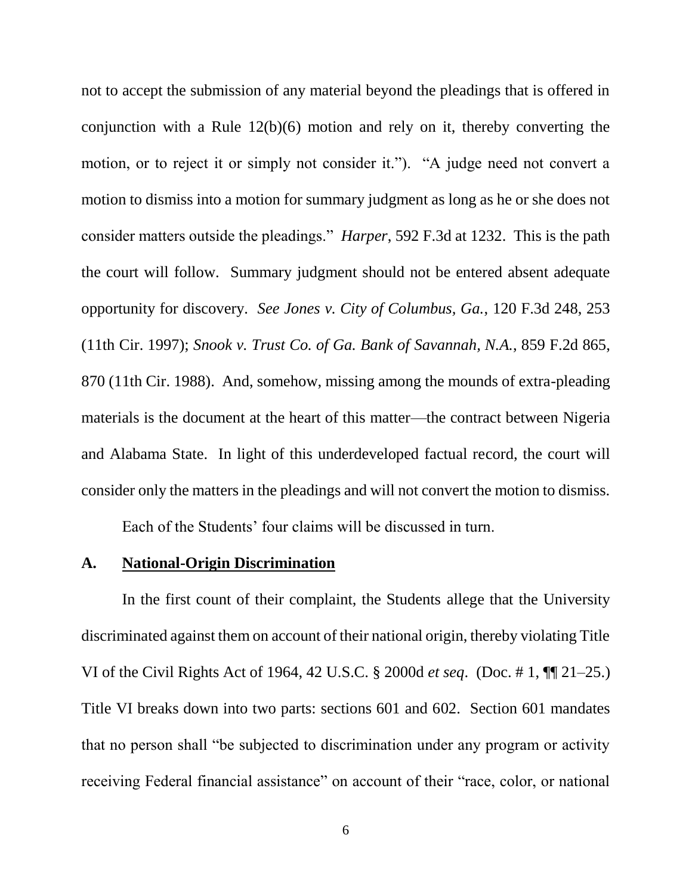not to accept the submission of any material beyond the pleadings that is offered in conjunction with a Rule 12(b)(6) motion and rely on it, thereby converting the motion, or to reject it or simply not consider it."). "A judge need not convert a motion to dismiss into a motion for summary judgment as long as he or she does not consider matters outside the pleadings." *Harper*, 592 F.3d at 1232. This is the path the court will follow. Summary judgment should not be entered absent adequate opportunity for discovery. *See Jones v. City of Columbus, Ga.*, 120 F.3d 248, 253 (11th Cir. 1997); *Snook v. Trust Co. of Ga. Bank of Savannah, N.A.*, 859 F.2d 865, 870 (11th Cir. 1988). And, somehow, missing among the mounds of extra-pleading materials is the document at the heart of this matter—the contract between Nigeria and Alabama State. In light of this underdeveloped factual record, the court will consider only the matters in the pleadings and will not convert the motion to dismiss.

Each of the Students' four claims will be discussed in turn.

## **A. National-Origin Discrimination**

In the first count of their complaint, the Students allege that the University discriminated against them on account of their national origin, thereby violating Title VI of the Civil Rights Act of 1964, 42 U.S.C. § 2000d *et seq*. (Doc. # 1, ¶¶ 21–25.) Title VI breaks down into two parts: sections 601 and 602. Section 601 mandates that no person shall "be subjected to discrimination under any program or activity receiving Federal financial assistance" on account of their "race, color, or national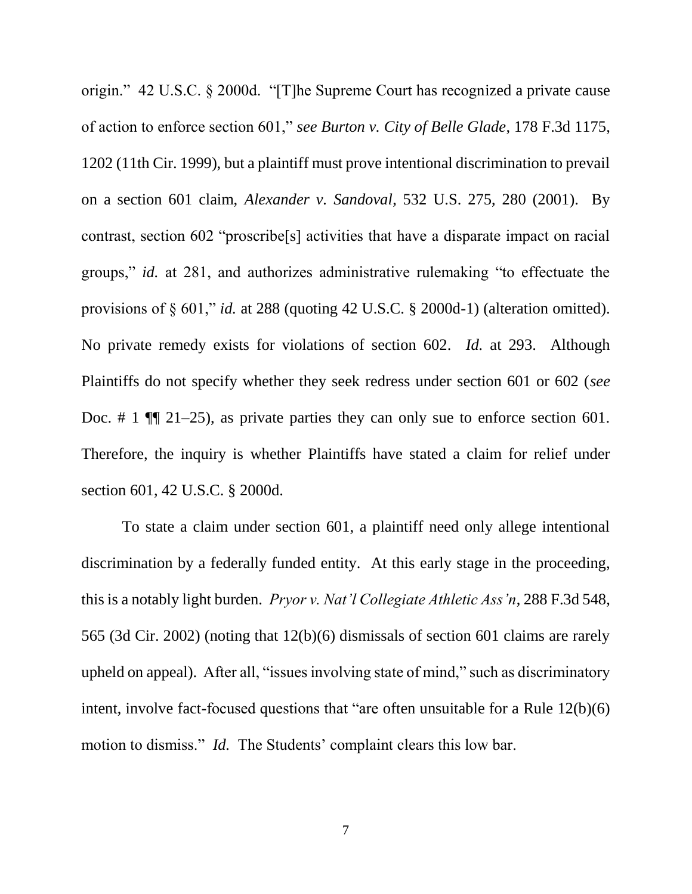origin." 42 U.S.C. § 2000d. "[T]he Supreme Court has recognized a private cause of action to enforce section 601," *see Burton v. City of Belle Glade*, 178 F.3d 1175, 1202 (11th Cir. 1999), but a plaintiff must prove intentional discrimination to prevail on a section 601 claim, *Alexander v. Sandoval*, 532 U.S. 275, 280 (2001). By contrast, section 602 "proscribe[s] activities that have a disparate impact on racial groups," *id.* at 281, and authorizes administrative rulemaking "to effectuate the provisions of § 601," *id.* at 288 (quoting 42 U.S.C. § 2000d-1) (alteration omitted). No private remedy exists for violations of section 602. *Id.* at 293. Although Plaintiffs do not specify whether they seek redress under section 601 or 602 (*see*  Doc. # 1  $\P$  21–25), as private parties they can only sue to enforce section 601. Therefore, the inquiry is whether Plaintiffs have stated a claim for relief under section 601, 42 U.S.C. § 2000d.

To state a claim under section 601, a plaintiff need only allege intentional discrimination by a federally funded entity. At this early stage in the proceeding, this is a notably light burden. *Pryor v. Nat'l Collegiate Athletic Ass'n*, 288 F.3d 548, 565 (3d Cir. 2002) (noting that 12(b)(6) dismissals of section 601 claims are rarely upheld on appeal). After all, "issues involving state of mind," such as discriminatory intent, involve fact-focused questions that "are often unsuitable for a Rule 12(b)(6) motion to dismiss." *Id.* The Students' complaint clears this low bar.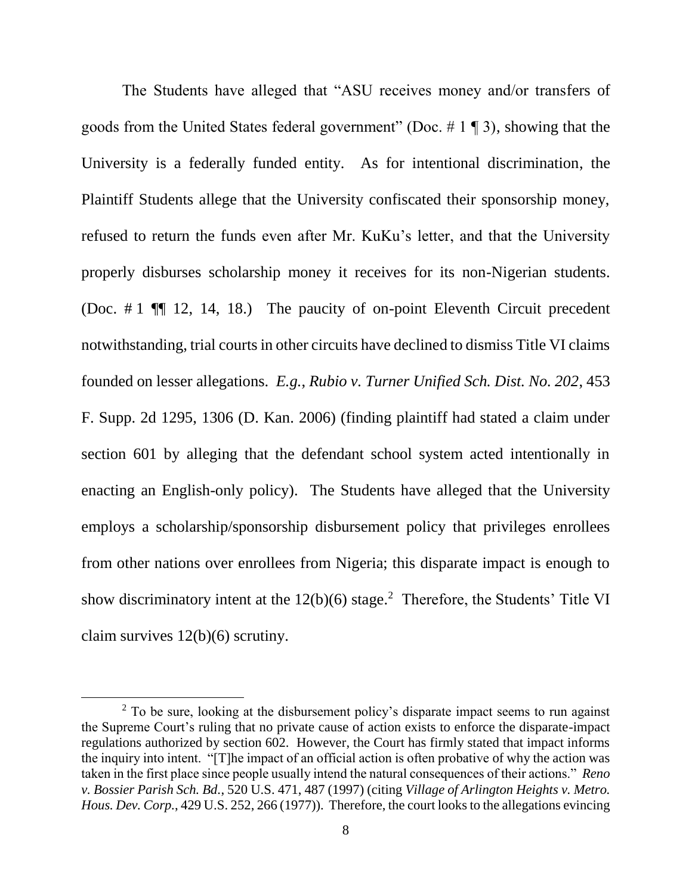The Students have alleged that "ASU receives money and/or transfers of goods from the United States federal government" (Doc.  $\# 1 \P 3$ ), showing that the University is a federally funded entity. As for intentional discrimination, the Plaintiff Students allege that the University confiscated their sponsorship money, refused to return the funds even after Mr. KuKu's letter, and that the University properly disburses scholarship money it receives for its non-Nigerian students. (Doc. # 1 ¶¶ 12, 14, 18.) The paucity of on-point Eleventh Circuit precedent notwithstanding, trial courts in other circuits have declined to dismiss Title VI claims founded on lesser allegations. *E.g.*, *Rubio v. Turner Unified Sch. Dist. No. 202*, 453 F. Supp. 2d 1295, 1306 (D. Kan. 2006) (finding plaintiff had stated a claim under section 601 by alleging that the defendant school system acted intentionally in enacting an English-only policy). The Students have alleged that the University employs a scholarship/sponsorship disbursement policy that privileges enrollees from other nations over enrollees from Nigeria; this disparate impact is enough to show discriminatory intent at the  $12(b)(6)$  stage.<sup>2</sup> Therefore, the Students' Title VI claim survives 12(b)(6) scrutiny.

 $2$  To be sure, looking at the disbursement policy's disparate impact seems to run against the Supreme Court's ruling that no private cause of action exists to enforce the disparate-impact regulations authorized by section 602. However, the Court has firmly stated that impact informs the inquiry into intent. "[T]he impact of an official action is often probative of why the action was taken in the first place since people usually intend the natural consequences of their actions." *Reno v. Bossier Parish Sch. Bd.*, 520 U.S. 471, 487 (1997) (citing *Village of Arlington Heights v. Metro. Hous. Dev. Corp.*, 429 U.S. 252, 266 (1977)). Therefore, the court looks to the allegations evincing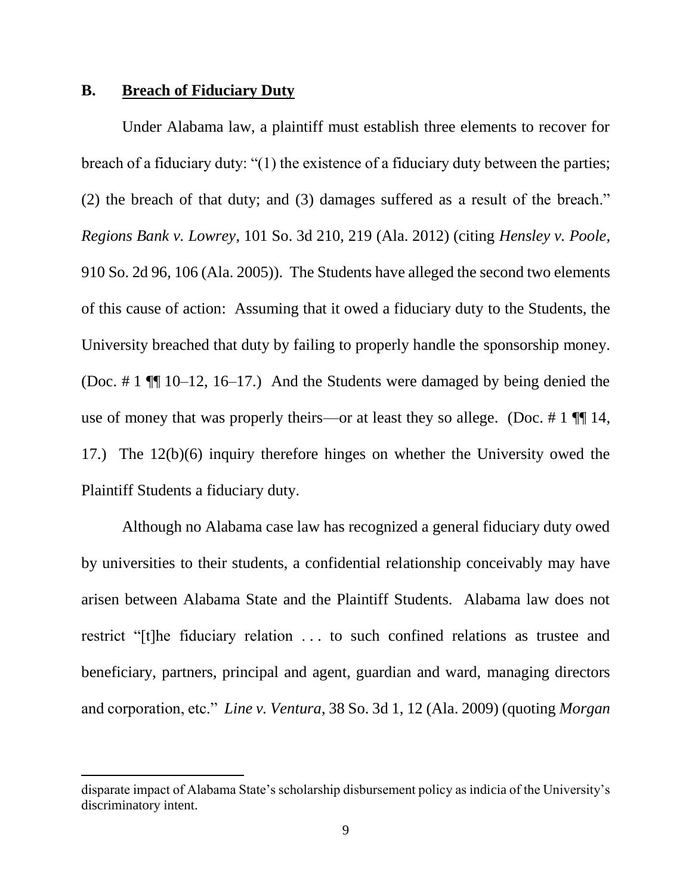## **B. Breach of Fiduciary Duty**

 $\overline{\phantom{a}}$ 

Under Alabama law, a plaintiff must establish three elements to recover for breach of a fiduciary duty: "(1) the existence of a fiduciary duty between the parties; (2) the breach of that duty; and (3) damages suffered as a result of the breach." *Regions Bank v. Lowrey*, 101 So. 3d 210, 219 (Ala. 2012) (citing *Hensley v. Poole*, 910 So. 2d 96, 106 (Ala. 2005)). The Students have alleged the second two elements of this cause of action: Assuming that it owed a fiduciary duty to the Students, the University breached that duty by failing to properly handle the sponsorship money. (Doc. # 1 ¶¶ 10–12, 16–17.) And the Students were damaged by being denied the use of money that was properly theirs—or at least they so allege. (Doc.  $\# 1 \P\P 14$ , 17.) The 12(b)(6) inquiry therefore hinges on whether the University owed the Plaintiff Students a fiduciary duty.

Although no Alabama case law has recognized a general fiduciary duty owed by universities to their students, a confidential relationship conceivably may have arisen between Alabama State and the Plaintiff Students. Alabama law does not restrict "[t]he fiduciary relation . . . to such confined relations as trustee and beneficiary, partners, principal and agent, guardian and ward, managing directors and corporation, etc." *Line v. Ventura*, 38 So. 3d 1, 12 (Ala. 2009) (quoting *Morgan* 

disparate impact of Alabama State's scholarship disbursement policy as indicia of the University's discriminatory intent.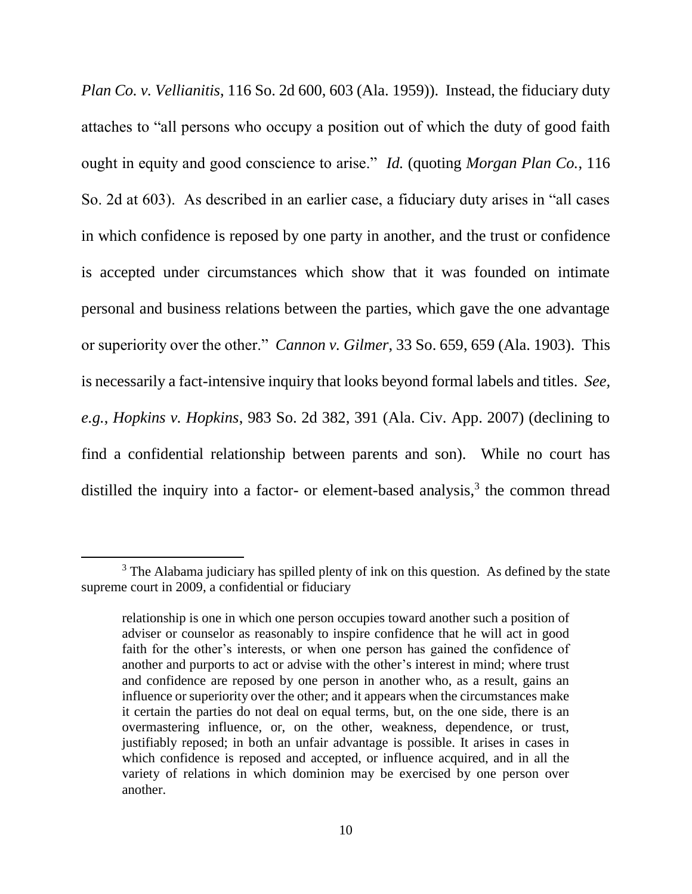*Plan Co. v. Vellianitis*, 116 So. 2d 600, 603 (Ala. 1959)). Instead, the fiduciary duty attaches to "all persons who occupy a position out of which the duty of good faith ought in equity and good conscience to arise." *Id.* (quoting *Morgan Plan Co.*, 116 So. 2d at 603). As described in an earlier case, a fiduciary duty arises in "all cases in which confidence is reposed by one party in another, and the trust or confidence is accepted under circumstances which show that it was founded on intimate personal and business relations between the parties, which gave the one advantage or superiority over the other." *Cannon v. Gilmer*, 33 So. 659, 659 (Ala. 1903). This is necessarily a fact-intensive inquiry that looks beyond formal labels and titles. *See, e.g.*, *Hopkins v. Hopkins*, 983 So. 2d 382, 391 (Ala. Civ. App. 2007) (declining to find a confidential relationship between parents and son). While no court has distilled the inquiry into a factor- or element-based analysis, $3$  the common thread

l

<sup>&</sup>lt;sup>3</sup> The Alabama judiciary has spilled plenty of ink on this question. As defined by the state supreme court in 2009, a confidential or fiduciary

relationship is one in which one person occupies toward another such a position of adviser or counselor as reasonably to inspire confidence that he will act in good faith for the other's interests, or when one person has gained the confidence of another and purports to act or advise with the other's interest in mind; where trust and confidence are reposed by one person in another who, as a result, gains an influence or superiority over the other; and it appears when the circumstances make it certain the parties do not deal on equal terms, but, on the one side, there is an overmastering influence, or, on the other, weakness, dependence, or trust, justifiably reposed; in both an unfair advantage is possible. It arises in cases in which confidence is reposed and accepted, or influence acquired, and in all the variety of relations in which dominion may be exercised by one person over another.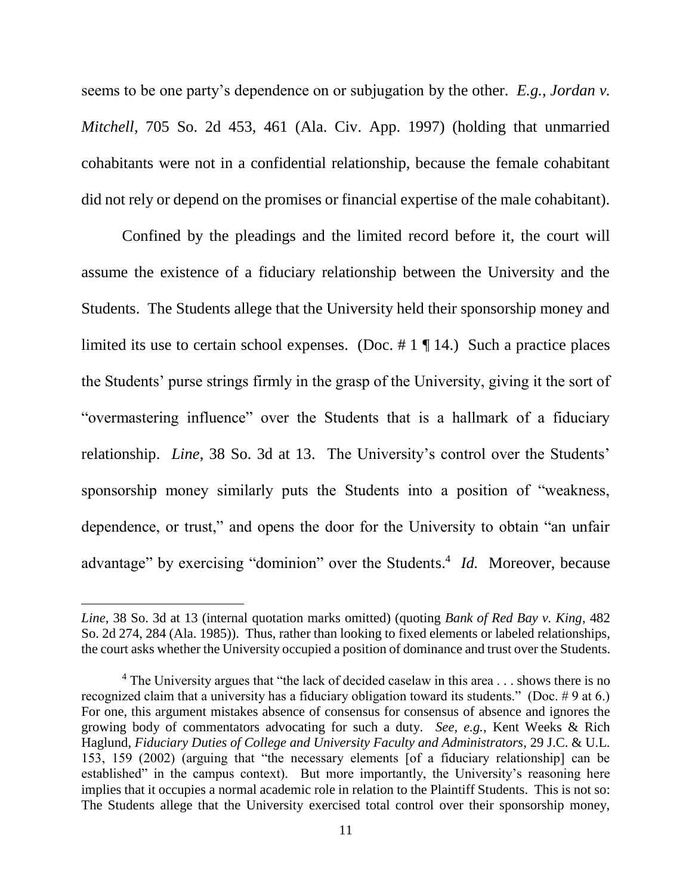seems to be one party's dependence on or subjugation by the other. *E.g.*, *Jordan v. Mitchell*, 705 So. 2d 453, 461 (Ala. Civ. App. 1997) (holding that unmarried cohabitants were not in a confidential relationship, because the female cohabitant did not rely or depend on the promises or financial expertise of the male cohabitant).

Confined by the pleadings and the limited record before it, the court will assume the existence of a fiduciary relationship between the University and the Students. The Students allege that the University held their sponsorship money and limited its use to certain school expenses. (Doc.  $\# 1 \P 14$ .) Such a practice places the Students' purse strings firmly in the grasp of the University, giving it the sort of "overmastering influence" over the Students that is a hallmark of a fiduciary relationship. *Line*, 38 So. 3d at 13. The University's control over the Students' sponsorship money similarly puts the Students into a position of "weakness, dependence, or trust," and opens the door for the University to obtain "an unfair advantage" by exercising "dominion" over the Students.<sup>4</sup> *Id.* Moreover, because

*Line*, 38 So. 3d at 13 (internal quotation marks omitted) (quoting *Bank of Red Bay v. King*, 482 So. 2d 274, 284 (Ala. 1985)). Thus, rather than looking to fixed elements or labeled relationships, the court asks whether the University occupied a position of dominance and trust over the Students.

<sup>&</sup>lt;sup>4</sup> The University argues that "the lack of decided caselaw in this area . . . shows there is no recognized claim that a university has a fiduciary obligation toward its students." (Doc. # 9 at 6.) For one, this argument mistakes absence of consensus for consensus of absence and ignores the growing body of commentators advocating for such a duty. *See, e.g.*, Kent Weeks & Rich Haglund, *Fiduciary Duties of College and University Faculty and Administrators*, 29 J.C. & U.L. 153, 159 (2002) (arguing that "the necessary elements [of a fiduciary relationship] can be established" in the campus context). But more importantly, the University's reasoning here implies that it occupies a normal academic role in relation to the Plaintiff Students. This is not so: The Students allege that the University exercised total control over their sponsorship money,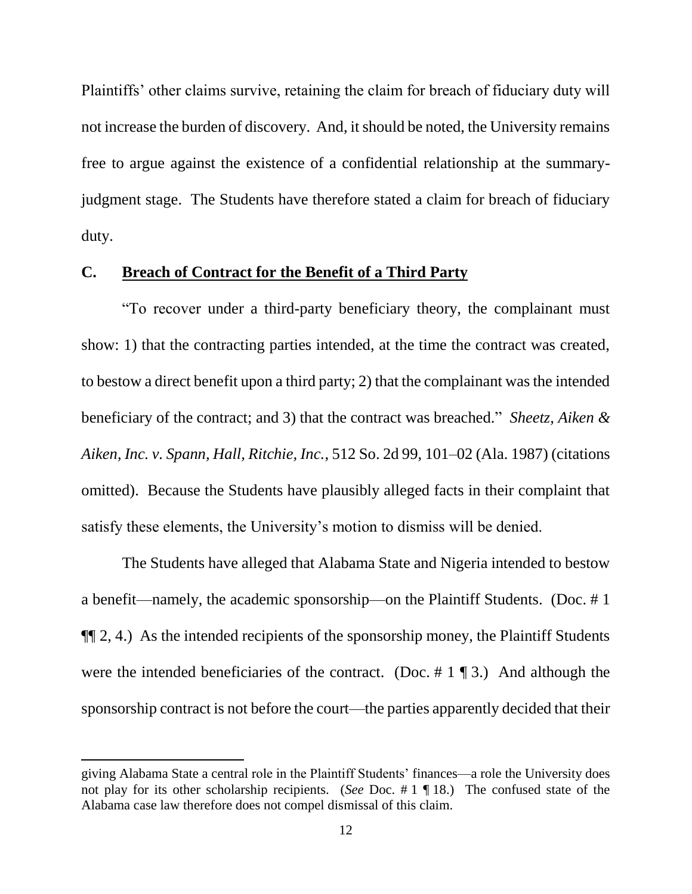Plaintiffs' other claims survive, retaining the claim for breach of fiduciary duty will not increase the burden of discovery. And, it should be noted, the University remains free to argue against the existence of a confidential relationship at the summaryjudgment stage. The Students have therefore stated a claim for breach of fiduciary duty.

### **C. Breach of Contract for the Benefit of a Third Party**

"To recover under a third-party beneficiary theory, the complainant must show: 1) that the contracting parties intended, at the time the contract was created, to bestow a direct benefit upon a third party; 2) that the complainant was the intended beneficiary of the contract; and 3) that the contract was breached." *Sheetz, Aiken & Aiken, Inc. v. Spann, Hall, Ritchie, Inc.*, 512 So. 2d 99, 101–02 (Ala. 1987) (citations omitted). Because the Students have plausibly alleged facts in their complaint that satisfy these elements, the University's motion to dismiss will be denied.

The Students have alleged that Alabama State and Nigeria intended to bestow a benefit—namely, the academic sponsorship—on the Plaintiff Students. (Doc. # 1 ¶¶ 2, 4.) As the intended recipients of the sponsorship money, the Plaintiff Students were the intended beneficiaries of the contract. (Doc. # 1 ¶ 3.) And although the sponsorship contract is not before the court—the parties apparently decided that their

giving Alabama State a central role in the Plaintiff Students' finances—a role the University does not play for its other scholarship recipients. (*See* Doc. # 1 ¶ 18.) The confused state of the Alabama case law therefore does not compel dismissal of this claim.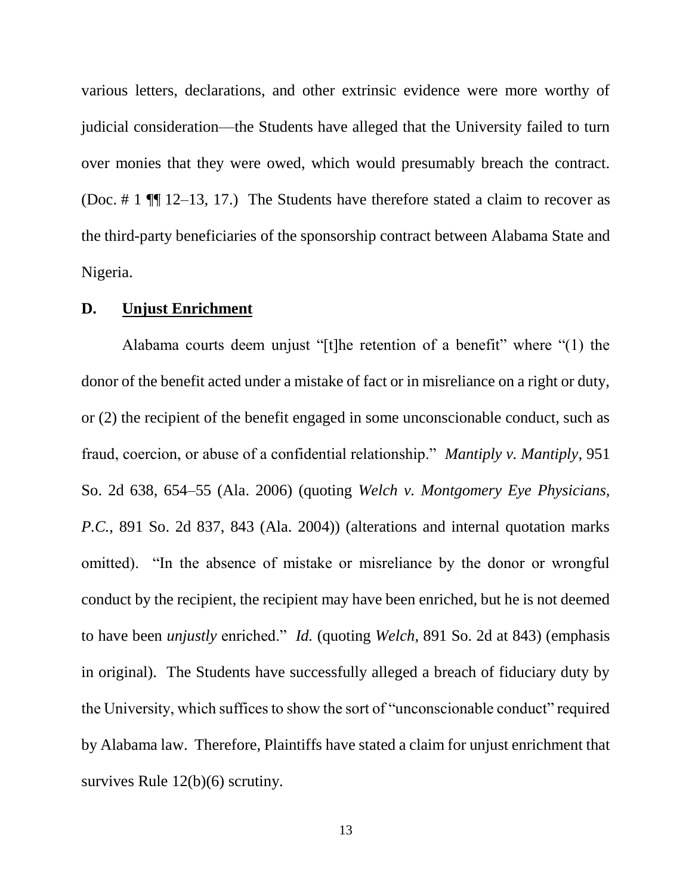various letters, declarations, and other extrinsic evidence were more worthy of judicial consideration—the Students have alleged that the University failed to turn over monies that they were owed, which would presumably breach the contract. (Doc. # 1 ¶¶ 12–13, 17.) The Students have therefore stated a claim to recover as the third-party beneficiaries of the sponsorship contract between Alabama State and Nigeria.

#### **D. Unjust Enrichment**

Alabama courts deem unjust "[t]he retention of a benefit" where "(1) the donor of the benefit acted under a mistake of fact or in misreliance on a right or duty, or (2) the recipient of the benefit engaged in some unconscionable conduct, such as fraud, coercion, or abuse of a confidential relationship." *Mantiply v. Mantiply*, 951 So. 2d 638, 654–55 (Ala. 2006) (quoting *Welch v. Montgomery Eye Physicians, P.C.*, 891 So. 2d 837, 843 (Ala. 2004)) (alterations and internal quotation marks omitted). "In the absence of mistake or misreliance by the donor or wrongful conduct by the recipient, the recipient may have been enriched, but he is not deemed to have been *unjustly* enriched." *Id.* (quoting *Welch*, 891 So. 2d at 843) (emphasis in original). The Students have successfully alleged a breach of fiduciary duty by the University, which suffices to show the sort of "unconscionable conduct" required by Alabama law. Therefore, Plaintiffs have stated a claim for unjust enrichment that survives Rule 12(b)(6) scrutiny.